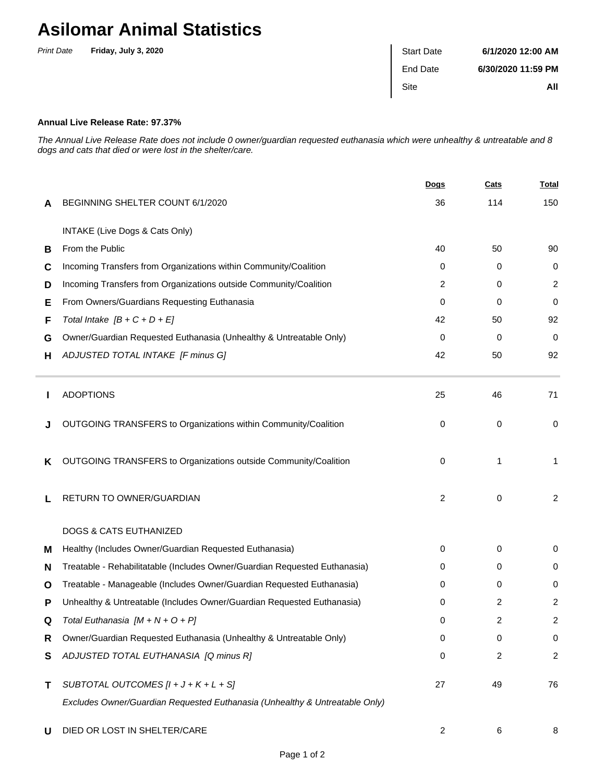## **Asilomar Animal Statistics**

| <b>Print Date</b> | Friday, July 3, 2020 | <b>Start Date</b> | 6/1/2020 12:00 AM  |
|-------------------|----------------------|-------------------|--------------------|
|                   |                      | End Date          | 6/30/2020 11:59 PM |
|                   |                      | Site              | All                |

## **Annual Live Release Rate: 97.37%**

The Annual Live Release Rate does not include 0 owner/guardian requested euthanasia which were unhealthy & untreatable and 8 dogs and cats that died or were lost in the shelter/care.

|   |                                                                             | <u>Dogs</u> | <b>Cats</b> | <u>Total</u>   |
|---|-----------------------------------------------------------------------------|-------------|-------------|----------------|
| A | BEGINNING SHELTER COUNT 6/1/2020                                            | 36          | 114         | 150            |
|   | INTAKE (Live Dogs & Cats Only)                                              |             |             |                |
| В | From the Public                                                             | 40          | 50          | 90             |
| C | Incoming Transfers from Organizations within Community/Coalition            | 0           | 0           | 0              |
| D | Incoming Transfers from Organizations outside Community/Coalition           | 2           | 0           | $\overline{c}$ |
| Е | From Owners/Guardians Requesting Euthanasia                                 | $\Omega$    | 0           | 0              |
| F | Total Intake $[B + C + D + E]$                                              | 42          | 50          | 92             |
| G | Owner/Guardian Requested Euthanasia (Unhealthy & Untreatable Only)          | $\Omega$    | 0           | 0              |
| н | ADJUSTED TOTAL INTAKE [F minus G]                                           | 42          | 50          | 92             |
|   | <b>ADOPTIONS</b>                                                            | 25          | 46          | 71             |
|   | OUTGOING TRANSFERS to Organizations within Community/Coalition              | 0           | 0           | 0              |
| ĸ | OUTGOING TRANSFERS to Organizations outside Community/Coalition             | 0           | 1           | 1              |
| L | RETURN TO OWNER/GUARDIAN                                                    | 2           | 0           | $\overline{c}$ |
|   | DOGS & CATS EUTHANIZED                                                      |             |             |                |
| м | Healthy (Includes Owner/Guardian Requested Euthanasia)                      | 0           | 0           | 0              |
| N | Treatable - Rehabilitatable (Includes Owner/Guardian Requested Euthanasia)  | 0           | 0           | 0              |
| O | Treatable - Manageable (Includes Owner/Guardian Requested Euthanasia)       | 0           | 0           | 0              |
| Р | Unhealthy & Untreatable (Includes Owner/Guardian Requested Euthanasia)      | 0           | 2           | 2              |
|   | Total Euthanasia $[M + N + O + P]$                                          | 0           | 2           | 2              |
| R | Owner/Guardian Requested Euthanasia (Unhealthy & Untreatable Only)          | 0           | 0           | 0              |
| S | ADJUSTED TOTAL EUTHANASIA [Q minus R]                                       | 0           | 2           | 2              |
| Τ | SUBTOTAL OUTCOMES $[l + J + K + L + S]$                                     | 27          | 49          | 76             |
|   | Excludes Owner/Guardian Requested Euthanasia (Unhealthy & Untreatable Only) |             |             |                |
| U | DIED OR LOST IN SHELTER/CARE                                                | 2           | 6           | 8              |